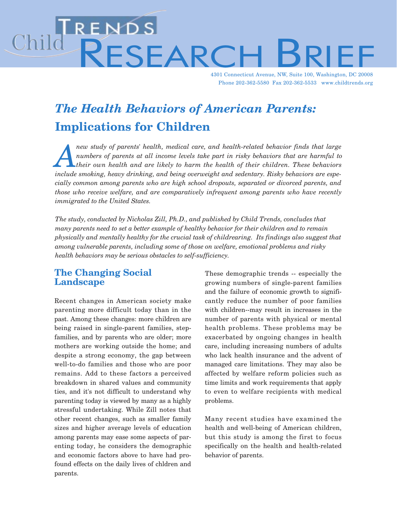# Child RENDS<br>RESEARC

4301 Connecticut Avenue, NW, Suite 100, Washington, DC 20008 Phone 202-362-5580 Fax 202-362-5533 www.childtrends.org

# The Health Behaviors of American Parents: Implications for Children

new study of parents' health, medical care, and health-related behavior finds that large<br>
numbers of parents at all income levels take part in risky behaviors that are harmful to<br>
their own health and are likely to harm th numbers of parents at all income levels take part in risky behaviors that are harmful to their own health and are likely to harm the health of their children. These behaviors include smoking, heavy drinking, and being overweight and sedentary. Risky behaviors are especially common among parents who are high school dropouts, separated or divorced parents, and those who receive welfare, and are comparatively infrequent among parents who have recently immigrated to the United States.

The study, conducted by Nicholas Zill, Ph.D., and published by Child Trends, concludes that many parents need to set a better example of healthy behavior for their children and to remain physically and mentally healthy for the crucial task of childrearing. Its findings also suggest that among vulnerable parents, including some of those on welfare, emotional problems and risky health behaviors may be serious obstacles to self-sufficiency.

# The Changing Social Landscape

Recent changes in American society make parenting more difficult today than in the past. Among these changes: more children are being raised in single-parent families, stepfamilies, and by parents who are older; more mothers are working outside the home; and despite a strong economy, the gap between well-to-do families and those who are poor remains. Add to these factors a perceived breakdown in shared values and community ties, and it's not difficult to understand why parenting today is viewed by many as a highly stressful undertaking. While Zill notes that other recent changes, such as smaller family sizes and higher average levels of education among parents may ease some aspects of parenting today, he considers the demographic and economic factors above to have had profound effects on the daily lives of chldren and parents.

These demographic trends -- especially the growing numbers of single-parent families and the failure of economic growth to significantly reduce the number of poor families with children--may result in increases in the number of parents with physical or mental health problems. These problems may be exacerbated by ongoing changes in health care, including increasing numbers of adults who lack health insurance and the advent of managed care limitations. They may also be affected by welfare reform policies such as time limits and work requirements that apply to even to welfare recipients with medical problems.

Many recent studies have examined the health and well-being of American children, but this study is among the first to focus specifically on the health and health-related behavior of parents.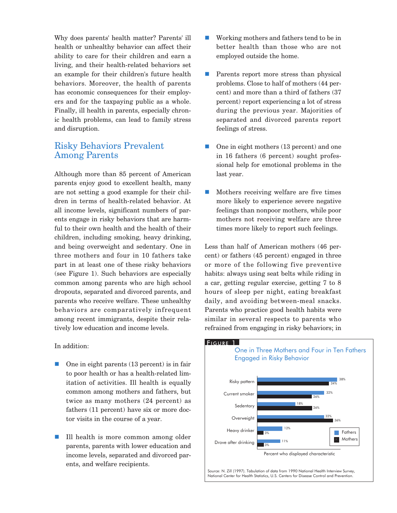Why does parents' health matter? Parents' ill health or unhealthy behavior can affect their ability to care for their children and earn a living, and their health-related behaviors set an example for their children's future health behaviors. Moreover, the health of parents has economic consequences for their employers and for the taxpaying public as a whole. Finally, ill health in parents, especially chronic health problems, can lead to family stress and disruption.

#### Risky Behaviors Prevalent Among Parents

Although more than 85 percent of American parents enjoy good to excellent health, many are not setting a good example for their children in terms of health-related behavior. At all income levels, significant numbers of parents engage in risky behaviors that are harmful to their own health and the health of their children, including smoking, heavy drinking, and being overweight and sedentary. One in three mothers and four in 10 fathers take part in at least one of these risky behaviors (see Figure 1). Such behaviors are especially common among parents who are high school dropouts, separated and divorced parents, and parents who receive welfare. These unhealthy behaviors are comparatively infrequent among recent immigrants, despite their relatively low education and income levels.

In addition:

- n One in eight parents (13 percent) is in fair to poor health or has a health-related limitation of activities. Ill health is equally common among mothers and fathers, but twice as many mothers (24 percent) as fathers (11 percent) have six or more doctor visits in the course of a year.
- Ill health is more common among older parents, parents with lower education and income levels, separated and divorced parents, and welfare recipients.
- $\blacksquare$  Working mothers and fathers tend to be in better health than those who are not employed outside the home.
- $\blacksquare$  Parents report more stress than physical problems. Close to half of mothers (44 percent) and more than a third of fathers (37 percent) report experiencing a lot of stress during the previous year. Majorities of separated and divorced parents report feelings of stress.
- $\Box$  One in eight mothers (13 percent) and one in 16 fathers (6 percent) sought professional help for emotional problems in the last year.
- $\blacksquare$  Mothers receiving welfare are five times more likely to experience severe negative feelings than nonpoor mothers, while poor mothers not receiving welfare are three times more likely to report such feelings.

Less than half of American mothers (46 percent) or fathers (45 percent) engaged in three or more of the following five preventive habits: always using seat belts while riding in a car, getting regular exercise, getting 7 to 8 hours of sleep per night, eating breakfast daily, and avoiding between-meal snacks. Parents who practice good health habits were similar in several respects to parents who refrained from engaging in risky behaviors; in

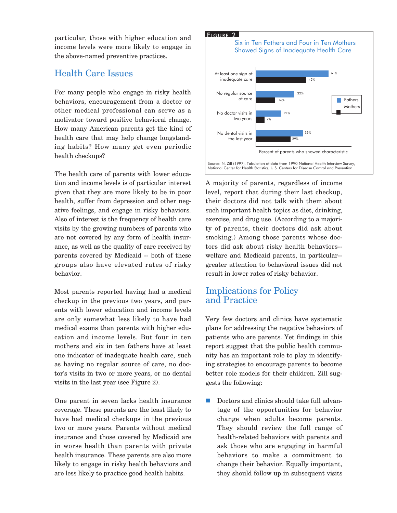particular, those with higher education and income levels were more likely to engage in the above-named preventive practices.

## Health Care Issues

For many people who engage in risky health behaviors, encouragement from a doctor or other medical professional can serve as a motivator toward positive behavioral change. How many American parents get the kind of health care that may help change longstanding habits? How many get even periodic health checkups?

The health care of parents with lower education and income levels is of particular interest given that they are more likely to be in poor health, suffer from depression and other negative feelings, and engage in risky behaviors. Also of interest is the frequency of health care visits by the growing numbers of parents who are not covered by any form of health insurance, as well as the quality of care received by parents covered by Medicaid -- both of these groups also have elevated rates of risky behavior.

Most parents reported having had a medical checkup in the previous two years, and parents with lower education and income levels are only somewhat less likely to have had medical exams than parents with higher education and income levels. But four in ten mothers and six in ten fathers have at least one indicator of inadequate health care, such as having no regular source of care, no doctor's visits in two or more years, or no dental visits in the last year (see Figure 2).

One parent in seven lacks health insurance coverage. These parents are the least likely to have had medical checkups in the previous two or more years. Parents without medical insurance and those covered by Medicaid are in worse health than parents with private health insurance. These parents are also more likely to engage in risky health behaviors and are less likely to practice good health habits.





National Center for Health Statistics, U.S. Centers for Disease Control and Prevention.

A majority of parents, regardless of income level, report that during their last checkup, their doctors did not talk with them about such important health topics as diet, drinking, exercise, and drug use. (According to a majority of parents, their doctors did ask about smoking.) Among those parents whose doctors did ask about risky health behaviors- welfare and Medicaid parents, in particular- greater attention to behavioral issues did not result in lower rates of risky behavior.

## Implications for Policy and Practice

Very few doctors and clinics have systematic plans for addressing the negative behaviors of patients who are parents. Yet findings in this report suggest that the public health community has an important role to play in identifying strategies to encourage parents to become better role models for their children. Zill suggests the following:

n Doctors and clinics should take full advantage of the opportunities for behavior change when adults become parents. They should review the full range of health-related behaviors with parents and ask those who are engaging in harmful behaviors to make a commitment to change their behavior. Equally important, they should follow up in subsequent visits